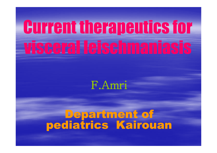## Current therapeutics for visceral leischmaniasis

### F.Amri

# **Department of<br>pediatrics Kairouan**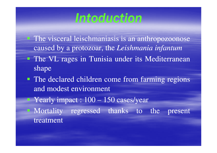## Intoduction

- The visceral leischmaniasis is an anthropozoonose caused by <sup>a</sup> protozoar, the *Leishmania infantum*
- The VL rages in Tunisia under its Mediterraneanshape
- The declared children come from farming regions and modest environment
- Yearly impact :  $100 150$  cases/year
- Mortality regresse<sup>d</sup> thanks to the presen<sup>t</sup> treatment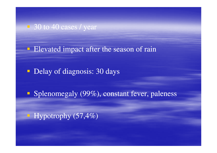■ 30 to 40 cases / year

**Elevated impact after the season of rain** 

Delay of diagnosis: 30 days

**Splenomegaly** (99%), constant fever, paleness

 $\blacksquare$  Hypotrophy (57,4%)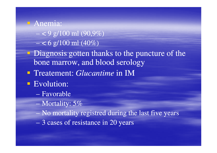#### Anemia:

- $\langle 9 \text{ g}/100 \text{ ml} (90,9\%)$
- $< 6$  g/100 ml (40%)
- **Diagnosis gotten thanks to the puncture of the** bone marrow, and blood serology
- Treatement: *Glucantime* in IM
- Evolution:
	- **Holland** Construction Favorable
	- Mortality: 5%
	- $\equiv$  No mortality No mortality registred during the last five years
	- **Holland** Construction 3 cases of resistance in 20 years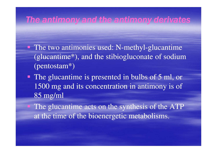#### The antimony and the antimony derivates

- The two antimonies used: N-methyl-glucantime (glucantime\*), and the stibiogluconate of sodium (pentostam\*)
- The glucantime is presented in bulbs of 5 ml, or 1500 mg and its concentration in antimony is of 85 mg/ml
- The glucantime acts on the synthesis of the ATP at the time of the bioenergetic metabolisms.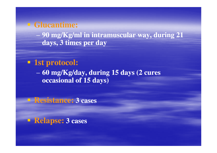#### **Glucantime:**

 **90 mg/Kg/ml in intramuscular way, during 21 days, 3 times per day**

#### **1st protocol:**

 **60 mg/Kg/day, during 15 days (2 cures occasional of 15 days)**

**Resistance: 3 cases**

**Relapse: 3 cases**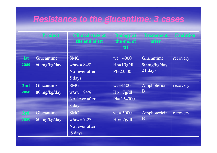#### Resistance to the glucantime: 3 cases

|      | <b>Product</b> | <b>Clinical state at</b><br>the end of ttt | <b>Biology at</b><br>the end of<br>ttt | <b>Treatement</b><br><b>after</b> | <b>Evolution</b> |
|------|----------------|--------------------------------------------|----------------------------------------|-----------------------------------|------------------|
| 1st  | Glucantime     | <b>SMG</b>                                 | $wc = 4000$                            | Glucantime                        | recovery         |
| case | 60 mg/kg/day   | $w/aw = 84\%$                              | $Hb=10g/dl$                            | 90 mg/kg/day,                     |                  |
|      |                | No fever after                             | $Pl = 23500$                           | 21 days                           |                  |
|      |                | 5 days                                     |                                        |                                   |                  |
| 2nd  | Glucantime     | <b>SMG</b>                                 | $wc = 4400$                            | Amphotericin                      | recovery         |
| case | 80 mg/kg/day   | $w/aw = 84\%$                              | $Hb = 7g/dl$                           | B                                 |                  |
|      |                | No fever after                             | $Pl = 154000$                          |                                   |                  |
|      |                | 8 days                                     |                                        |                                   |                  |
| 3rd  | Glucantime     | <b>SMG</b>                                 | $wc = 5000$                            | Amphotericin                      | recovery         |
| case | 60 mg/kg/day   | $w/aw = 72%$                               | $Hb = 7g/dl$                           | $\bf{B}$                          |                  |
|      |                | No fever after                             |                                        |                                   |                  |
|      |                | 8 days                                     |                                        |                                   |                  |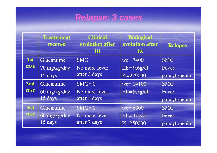#### Relapse: 3 cases

|            | <b>Treatement</b><br>receved | <b>Clinical</b><br>evolution after<br>ttt | <b>Biological</b><br>evolution after<br>ttt | <b>Relapse</b> |
|------------|------------------------------|-------------------------------------------|---------------------------------------------|----------------|
| <b>1st</b> | Glucantime                   | <b>SMG</b>                                | $wc = 7400$                                 | <b>SMG</b>     |
| case       | 70 mg/kg/day                 | No more fever                             | $Hb=9.6g/dl$                                | Fever          |
|            | 15 days                      | after 3 days                              | $Pl=279000$                                 | pancytopenia   |
| 2nd        | Glucantime                   | $SMG=0$                                   | $wc = 14100$                                | <b>SMG</b>     |
| case       | 60 mg/kg/day                 | No more fever                             | $Hb=9,5g/dl$                                | Fever          |
|            | 15 days                      | after 4 days                              |                                             | pancytopenia   |
| 3rd        | Glucantime                   | $SMG=0$                                   | $wc = 6300$                                 | <b>SMG</b>     |
| case       | 60 mg/kg/day                 | No more fever                             | $Hb = 10g/dl$                               | Fever          |
|            | 15 days                      | after 7 days                              | Pl=250000                                   | pancytopenia   |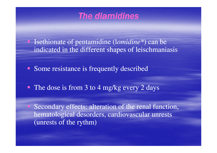#### The diamidines

 Isethionate of pentamidine (l*omidine\**) can be indicated in the different shapes of leischmaniasis

- **Some resistance is frequently described**
- The dose is from 3 to 4 mg/kg every 2 days

 Secondary effects: alteration of the renal function, hematological desorders, cardiovascular unrests (unrests of the rythm)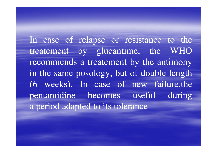In case of relapse or resistance to the treatement by glucantime, the WHO recommends <sup>a</sup> treatement by the antimony in the same posology, but of double length (6 weeks). In case of new failure,the pentamidine becomes useful during<sup>a</sup> period adapted to its tolerance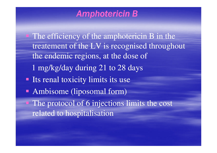#### Amphotericin B

The efficiency of the amphotericin B in the treatement of the LV is recognised throughout the endemic regions, at the dose of 1 mg/kg/day during 21 to 28 days**Its renal toxicity limits its use**  Ambisome (liposomal form) The protocol of 6 injections limits the cost related to hospitalisation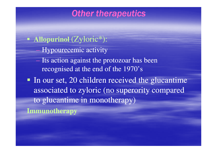#### **Other therapeutics**

- **Allopurinol** (Zyloric\*):
	- Hypourecemic activity
	- Its action against the protozoar has been recognised at the end of the 1970's
- In our set, 20 children received the glucantime associated to zyloric (no superority compared to glucantime in monotherapy)**Immunotherapy**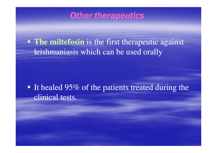#### **Other therapeutics**

**The miltefosin** is the first therapeutic against leishmaniasis which can be used orally

It healed  $95\%$  of the patients treated during the clinical tests.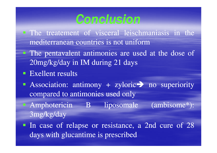## Conclusion

- **The treatement of visceral leischmaniasis in the** mediterranean countries is not uniform
- The pentavalent antimonies are used at the dose of 20mg/kg/day in IM during 21 days
- Exellent results
- Association: antimony + zyloric > no superiority<br>
compared to antimonies used only compared to antimonies used only
- Amphotericin B liposomale (ambisome\*): 3mg/kg/day
- In case of relapse or resistance, <sup>a</sup> 2nd cure of <sup>28</sup>days with glucantime is prescribed